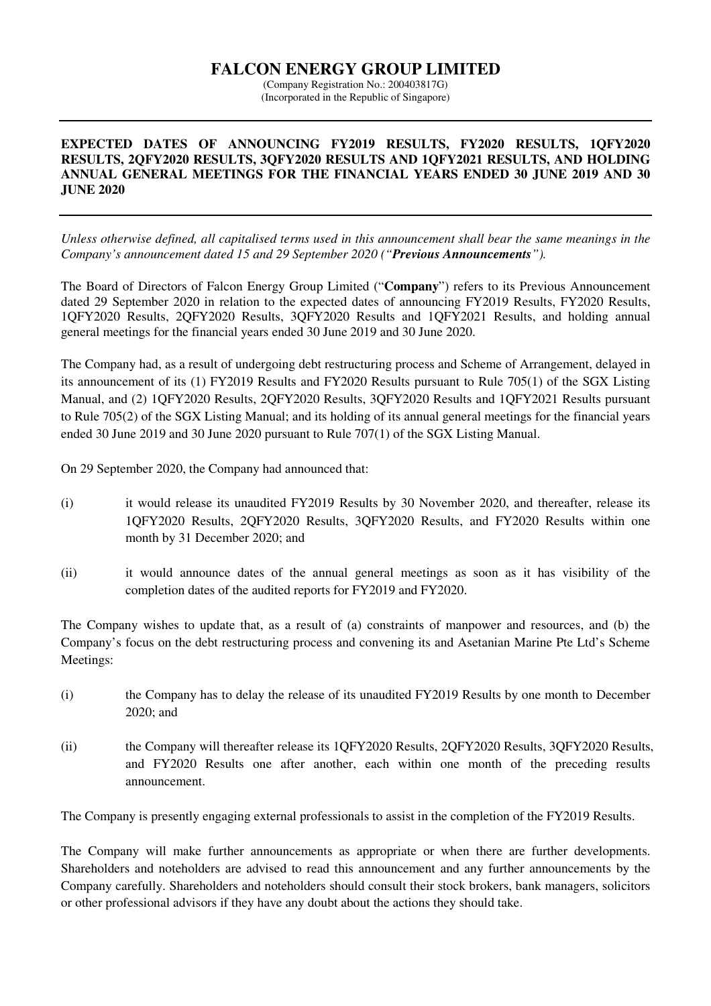## **FALCON ENERGY GROUP LIMITED**  (Company Registration No.: 200403817G)

(Incorporated in the Republic of Singapore)

## **EXPECTED DATES OF ANNOUNCING FY2019 RESULTS, FY2020 RESULTS, 1QFY2020 RESULTS, 2QFY2020 RESULTS, 3QFY2020 RESULTS AND 1QFY2021 RESULTS, AND HOLDING ANNUAL GENERAL MEETINGS FOR THE FINANCIAL YEARS ENDED 30 JUNE 2019 AND 30 JUNE 2020**

*Unless otherwise defined, all capitalised terms used in this announcement shall bear the same meanings in the Company's announcement dated 15 and 29 September 2020 ("Previous Announcements").* 

The Board of Directors of Falcon Energy Group Limited ("**Company**") refers to its Previous Announcement dated 29 September 2020 in relation to the expected dates of announcing FY2019 Results, FY2020 Results, 1QFY2020 Results, 2QFY2020 Results, 3QFY2020 Results and 1QFY2021 Results, and holding annual general meetings for the financial years ended 30 June 2019 and 30 June 2020.

The Company had, as a result of undergoing debt restructuring process and Scheme of Arrangement, delayed in its announcement of its (1) FY2019 Results and FY2020 Results pursuant to Rule 705(1) of the SGX Listing Manual, and (2) 1QFY2020 Results, 2QFY2020 Results, 3QFY2020 Results and 1QFY2021 Results pursuant to Rule 705(2) of the SGX Listing Manual; and its holding of its annual general meetings for the financial years ended 30 June 2019 and 30 June 2020 pursuant to Rule 707(1) of the SGX Listing Manual.

On 29 September 2020, the Company had announced that:

- (i) it would release its unaudited FY2019 Results by 30 November 2020, and thereafter, release its 1QFY2020 Results, 2QFY2020 Results, 3QFY2020 Results, and FY2020 Results within one month by 31 December 2020; and
- (ii) it would announce dates of the annual general meetings as soon as it has visibility of the completion dates of the audited reports for FY2019 and FY2020.

The Company wishes to update that, as a result of (a) constraints of manpower and resources, and (b) the Company's focus on the debt restructuring process and convening its and Asetanian Marine Pte Ltd's Scheme Meetings:

- (i) the Company has to delay the release of its unaudited FY2019 Results by one month to December 2020; and
- (ii) the Company will thereafter release its 1QFY2020 Results, 2QFY2020 Results, 3QFY2020 Results, and FY2020 Results one after another, each within one month of the preceding results announcement.

The Company is presently engaging external professionals to assist in the completion of the FY2019 Results.

The Company will make further announcements as appropriate or when there are further developments. Shareholders and noteholders are advised to read this announcement and any further announcements by the Company carefully. Shareholders and noteholders should consult their stock brokers, bank managers, solicitors or other professional advisors if they have any doubt about the actions they should take.